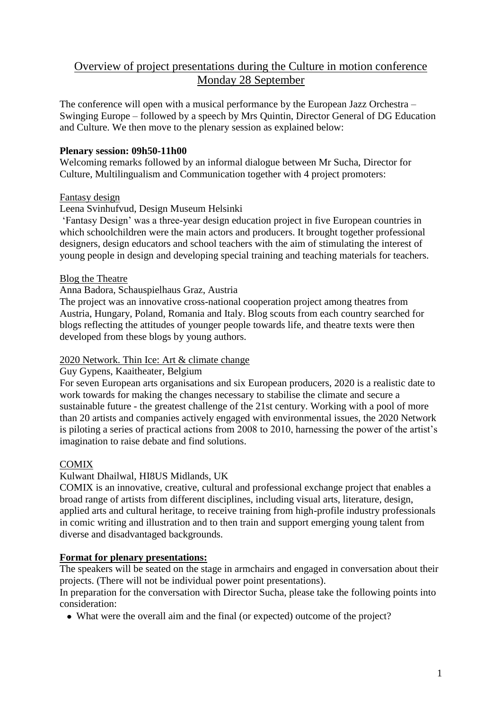# Overview of project presentations during the Culture in motion conference Monday 28 September

The conference will open with a musical performance by the European Jazz Orchestra – Swinging Europe – followed by a speech by Mrs Quintin, Director General of DG Education and Culture. We then move to the plenary session as explained below:

### **Plenary session: 09h50-11h00**

Welcoming remarks followed by an informal dialogue between Mr Sucha, Director for Culture, Multilingualism and Communication together with 4 project promoters:

#### Fantasy design

#### Leena Svinhufvud, Design Museum Helsinki

'Fantasy Design' was a three-year design education project in five European countries in which schoolchildren were the main actors and producers. It brought together professional designers, design educators and school teachers with the aim of stimulating the interest of young people in design and developing special training and teaching materials for teachers.

#### Blog the Theatre

#### Anna Badora, Schauspielhaus Graz, Austria

The project was an innovative cross-national cooperation project among theatres from Austria, Hungary, Poland, Romania and Italy. Blog scouts from each country searched for blogs reflecting the attitudes of younger people towards life, and theatre texts were then developed from these blogs by young authors.

#### 2020 Network. Thin Ice: Art & climate change

#### Guy Gypens, Kaaitheater, Belgium

For seven European arts organisations and six European producers, 2020 is a realistic date to work towards for making the changes necessary to stabilise the climate and secure a sustainable future - the greatest challenge of the 21st century. Working with a pool of more than 20 artists and companies actively engaged with environmental issues, the 2020 Network is piloting a series of practical actions from 2008 to 2010, harnessing the power of the artist's imagination to raise debate and find solutions.

## **COMIX**

## Kulwant Dhailwal, HI8US Midlands, UK

COMIX is an innovative, creative, cultural and professional exchange project that enables a broad range of artists from different disciplines, including visual arts, literature, design, applied arts and cultural heritage, to receive training from high-profile industry professionals in comic writing and illustration and to then train and support emerging young talent from diverse and disadvantaged backgrounds.

## **Format for plenary presentations:**

The speakers will be seated on the stage in armchairs and engaged in conversation about their projects. (There will not be individual power point presentations).

In preparation for the conversation with Director Sucha, please take the following points into consideration:

• What were the overall aim and the final (or expected) outcome of the project?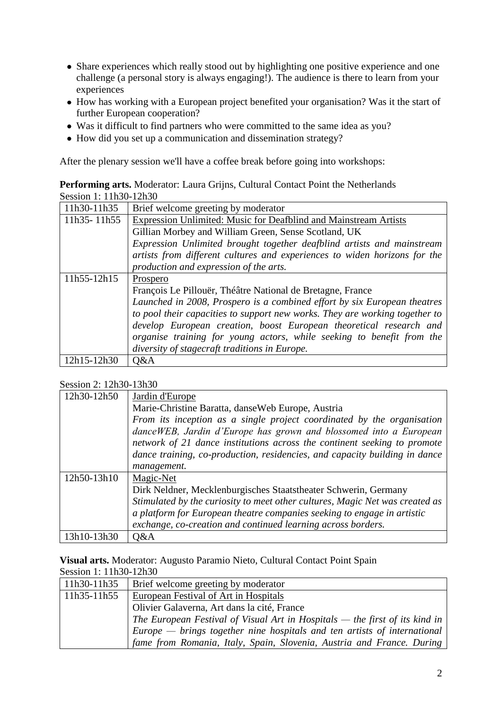- Share experiences which really stood out by highlighting one positive experience and one challenge (a personal story is always engaging!). The audience is there to learn from your experiences
- How has working with a European project benefited your organisation? Was it the start of further European cooperation?
- Was it difficult to find partners who were committed to the same idea as you?
- How did you set up a communication and dissemination strategy?

After the plenary session we'll have a coffee break before going into workshops:

| <b>Performing arts.</b> Moderator: Laura Grijns, Cultural Contact Point the Netherlands |  |
|-----------------------------------------------------------------------------------------|--|
| Session 1: 11h30-12h30                                                                  |  |

| 11h30-11h35 | Brief welcome greeting by moderator                                         |
|-------------|-----------------------------------------------------------------------------|
| 11h35-11h55 | <b>Expression Unlimited: Music for Deafblind and Mainstream Artists</b>     |
|             | Gillian Morbey and William Green, Sense Scotland, UK                        |
|             | Expression Unlimited brought together deafblind artists and mainstream      |
|             | artists from different cultures and experiences to widen horizons for the   |
|             | production and expression of the arts.                                      |
| 11h55-12h15 | Prospero                                                                    |
|             | François Le Pillouër, Théâtre National de Bretagne, France                  |
|             | Launched in 2008, Prospero is a combined effort by six European theatres    |
|             | to pool their capacities to support new works. They are working together to |
|             | develop European creation, boost European theoretical research and          |
|             | organise training for young actors, while seeking to benefit from the       |
|             | diversity of stagecraft traditions in Europe.                               |
| 12h15-12h30 | O&A                                                                         |

#### Session 2: 12h30-13h30

| 12h30-12h50 | Jardin d'Europe                                                              |
|-------------|------------------------------------------------------------------------------|
|             | Marie-Christine Baratta, danseWeb Europe, Austria                            |
|             | From its inception as a single project coordinated by the organisation       |
|             | danceWEB, Jardin d'Europe has grown and blossomed into a European            |
|             | network of 21 dance institutions across the continent seeking to promote     |
|             | dance training, co-production, residencies, and capacity building in dance   |
|             | management.                                                                  |
| 12h50-13h10 | Magic-Net                                                                    |
|             | Dirk Neldner, Mecklenburgisches Staatstheater Schwerin, Germany              |
|             | Stimulated by the curiosity to meet other cultures, Magic Net was created as |
|             | a platform for European theatre companies seeking to engage in artistic      |
|             | exchange, co-creation and continued learning across borders.                 |
| 13h10-13h30 | Q&A                                                                          |

**Visual arts.** Moderator: Augusto Paramio Nieto, Cultural Contact Point Spain Session 1: 11h30-12h30

| 11h30-11h35 | Brief welcome greeting by moderator                                           |  |
|-------------|-------------------------------------------------------------------------------|--|
| 11h35-11h55 | <b>European Festival of Art in Hospitals</b>                                  |  |
|             | Olivier Galaverna, Art dans la cité, France                                   |  |
|             | The European Festival of Visual Art in Hospitals $-$ the first of its kind in |  |
|             | $Europe - brings$ together nine hospitals and ten artists of international    |  |
|             | fame from Romania, Italy, Spain, Slovenia, Austria and France. During         |  |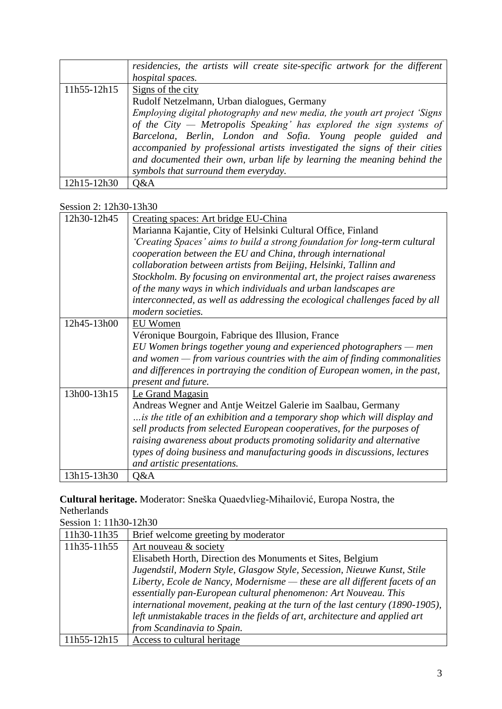|                 | residencies, the artists will create site-specific artwork for the different<br>hospital spaces. |
|-----------------|--------------------------------------------------------------------------------------------------|
|                 |                                                                                                  |
| $11h55 - 12h15$ | Signs of the city                                                                                |
|                 | Rudolf Netzelmann, Urban dialogues, Germany                                                      |
|                 | Employing digital photography and new media, the youth art project 'Signs'                       |
|                 | of the City — Metropolis Speaking' has explored the sign systems of                              |
|                 | Barcelona, Berlin, London and Sofia. Young people guided and                                     |
|                 | accompanied by professional artists investigated the signs of their cities                       |
|                 | and documented their own, urban life by learning the meaning behind the                          |
|                 | symbols that surround them everyday.                                                             |
| 12h15-12h30     | O&A                                                                                              |

## Session 2: 12h30-13h30

| 12h30-12h45 | Creating spaces: Art bridge EU-China                                                              |
|-------------|---------------------------------------------------------------------------------------------------|
|             | Marianna Kajantie, City of Helsinki Cultural Office, Finland                                      |
|             | 'Creating Spaces' aims to build a strong foundation for long-term cultural                        |
|             | cooperation between the EU and China, through international                                       |
|             | collaboration between artists from Beijing, Helsinki, Tallinn and                                 |
|             | Stockholm. By focusing on environmental art, the project raises awareness                         |
|             | of the many ways in which individuals and urban landscapes are                                    |
|             | interconnected, as well as addressing the ecological challenges faced by all<br>modern societies. |
| 12h45-13h00 | EU Women                                                                                          |
|             | Véronique Bourgoin, Fabrique des Illusion, France                                                 |
|             | EU Women brings together young and experienced photographers $-$ men                              |
|             | and women $-$ from various countries with the aim of finding commonalities                        |
|             | and differences in portraying the condition of European women, in the past,                       |
|             | present and future.                                                                               |
| 13h00-13h15 | Le Grand Magasin                                                                                  |
|             | Andreas Wegner and Antje Weitzel Galerie im Saalbau, Germany                                      |
|             | is the title of an exhibition and a temporary shop which will display and                         |
|             | sell products from selected European cooperatives, for the purposes of                            |
|             | raising awareness about products promoting solidarity and alternative                             |
|             | types of doing business and manufacturing goods in discussions, lectures                          |
|             | and artistic presentations.                                                                       |
| 13h15-13h30 | Q&A                                                                                               |

## **Cultural heritage.** Moderator: Sneška Quaedvlieg-Mihailović, Europa Nostra, the Netherlands

| Session 1: 11h30-12h30 |                                                                              |
|------------------------|------------------------------------------------------------------------------|
| 11h30-11h35            | Brief welcome greeting by moderator                                          |
| 11h35-11h55            | Art nouveau & society                                                        |
|                        | Elisabeth Horth, Direction des Monuments et Sites, Belgium                   |
|                        | Jugendstil, Modern Style, Glasgow Style, Secession, Nieuwe Kunst, Stile      |
|                        | Liberty, Ecole de Nancy, Modernisme - these are all different facets of an   |
|                        | essentially pan-European cultural phenomenon: Art Nouveau. This              |
|                        | international movement, peaking at the turn of the last century (1890-1905), |
|                        | left unmistakable traces in the fields of art, architecture and applied art  |
|                        | from Scandinavia to Spain.                                                   |
| 11h55-12h15            | Access to cultural heritage                                                  |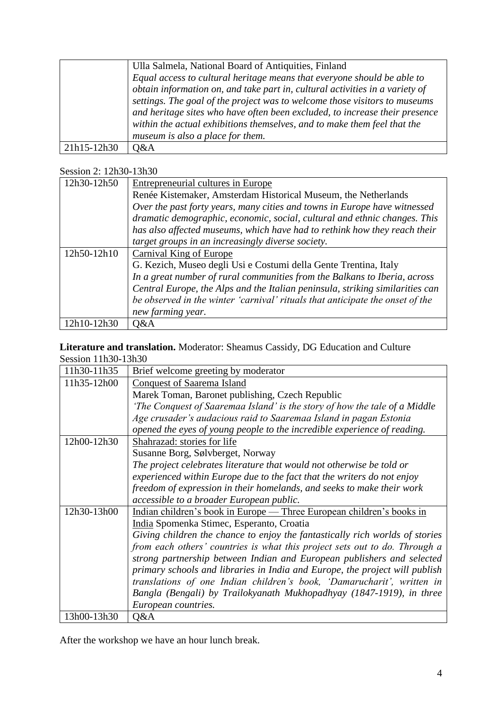|             | Ulla Salmela, National Board of Antiquities, Finland                         |
|-------------|------------------------------------------------------------------------------|
|             | Equal access to cultural heritage means that everyone should be able to      |
|             | obtain information on, and take part in, cultural activities in a variety of |
|             | settings. The goal of the project was to welcome those visitors to museums   |
|             | and heritage sites who have often been excluded, to increase their presence  |
|             | within the actual exhibitions themselves, and to make them feel that the     |
|             | museum is also a place for them.                                             |
| 21h15-12h30 | Q&A                                                                          |

## Session 2: 12h30-13h30

| 12h30-12h50 | Entrepreneurial cultures in Europe                                            |
|-------------|-------------------------------------------------------------------------------|
|             | Renée Kistemaker, Amsterdam Historical Museum, the Netherlands                |
|             | Over the past forty years, many cities and towns in Europe have witnessed     |
|             | dramatic demographic, economic, social, cultural and ethnic changes. This     |
|             | has also affected museums, which have had to rethink how they reach their     |
|             | target groups in an increasingly diverse society.                             |
| 12h50-12h10 | Carnival King of Europe                                                       |
|             | G. Kezich, Museo degli Usi e Costumi della Gente Trentina, Italy              |
|             | In a great number of rural communities from the Balkans to Iberia, across     |
|             | Central Europe, the Alps and the Italian peninsula, striking similarities can |
|             | be observed in the winter 'carnival' rituals that anticipate the onset of the |
|             | new farming year.                                                             |
| 12h10-12h30 | Q&A                                                                           |

## **Literature and translation.** Moderator: Sheamus Cassidy, DG Education and Culture Session 11h30-13h30

| 11h30-11h35 | Brief welcome greeting by moderator                                          |
|-------------|------------------------------------------------------------------------------|
| 11h35-12h00 | <b>Conquest of Saarema Island</b>                                            |
|             | Marek Toman, Baronet publishing, Czech Republic                              |
|             | 'The Conquest of Saaremaa Island' is the story of how the tale of a Middle   |
|             | Age crusader's audacious raid to Saaremaa Island in pagan Estonia            |
|             | opened the eyes of young people to the incredible experience of reading.     |
| 12h00-12h30 | Shahrazad: stories for life                                                  |
|             | Susanne Borg, Sølvberget, Norway                                             |
|             | The project celebrates literature that would not otherwise be told or        |
|             | experienced within Europe due to the fact that the writers do not enjoy      |
|             | freedom of expression in their homelands, and seeks to make their work       |
|             | accessible to a broader European public.                                     |
| 12h30-13h00 | Indian children's book in Europe — Three European children's books in        |
|             | India Spomenka Stimec, Esperanto, Croatia                                    |
|             | Giving children the chance to enjoy the fantastically rich worlds of stories |
|             | from each others' countries is what this project sets out to do. Through a   |
|             | strong partnership between Indian and European publishers and selected       |
|             | primary schools and libraries in India and Europe, the project will publish  |
|             | translations of one Indian children's book, 'Damarucharit', written in       |
|             | Bangla (Bengali) by Trailokyanath Mukhopadhyay (1847-1919), in three         |
|             | European countries.                                                          |
| 13h00-13h30 | Q&A                                                                          |

After the workshop we have an hour lunch break.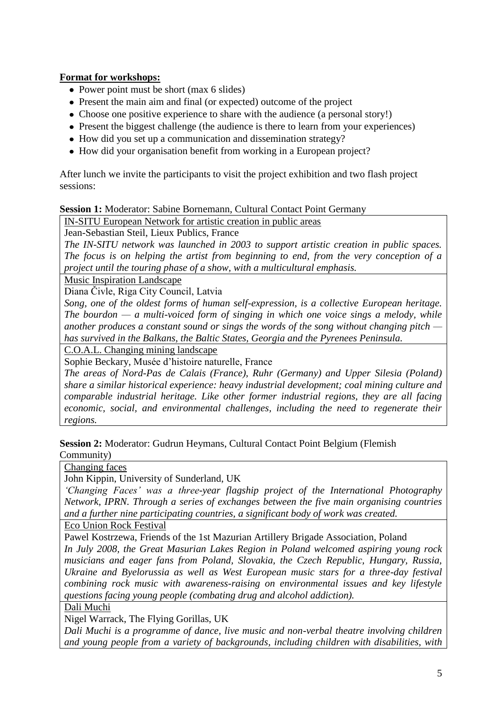## **Format for workshops:**

- Power point must be short (max 6 slides)
- Present the main aim and final (or expected) outcome of the project
- Choose one positive experience to share with the audience (a personal story!)
- Present the biggest challenge (the audience is there to learn from your experiences)
- How did you set up a communication and dissemination strategy?
- How did your organisation benefit from working in a European project?

After lunch we invite the participants to visit the project exhibition and two flash project sessions:

#### **Session 1:** Moderator: Sabine Bornemann, Cultural Contact Point Germany

IN-SITU European Network for artistic creation in public areas

Jean-Sebastian Steil, Lieux Publics, France

*The IN-SITU network was launched in 2003 to support artistic creation in public spaces. The focus is on helping the artist from beginning to end, from the very conception of a project until the touring phase of a show, with a multicultural emphasis.*

Music Inspiration Landscape

Diana Čivle, Riga City Council, Latvia

*Song, one of the oldest forms of human self-expression, is a collective European heritage. The bourdon — a multi-voiced form of singing in which one voice sings a melody, while another produces a constant sound or sings the words of the song without changing pitch has survived in the Balkans, the Baltic States, Georgia and the Pyrenees Peninsula.*

C.O.A.L. Changing mining landscape

Sophie Beckary, Musée d'histoire naturelle, France

*The areas of Nord-Pas de Calais (France), Ruhr (Germany) and Upper Silesia (Poland) share a similar historical experience: heavy industrial development; coal mining culture and comparable industrial heritage. Like other former industrial regions, they are all facing economic, social, and environmental challenges, including the need to regenerate their regions.*

**Session 2:** Moderator: Gudrun Heymans, Cultural Contact Point Belgium (Flemish Community)

Changing faces

John Kippin, University of Sunderland, UK

*'Changing Faces' was a three-year flagship project of the International Photography Network, IPRN. Through a series of exchanges between the five main organising countries and a further nine participating countries, a significant body of work was created.*

Eco Union Rock Festival

Pawel Kostrzewa, Friends of the 1st Mazurian Artillery Brigade Association, Poland

*In July 2008, the Great Masurian Lakes Region in Poland welcomed aspiring young rock musicians and eager fans from Poland, Slovakia, the Czech Republic, Hungary, Russia, Ukraine and Byelorussia as well as West European music stars for a three-day festival combining rock music with awareness-raising on environmental issues and key lifestyle questions facing young people (combating drug and alcohol addiction).*

Dali Muchi

Nigel Warrack, The Flying Gorillas, UK

*Dali Muchi is a programme of dance, live music and non-verbal theatre involving children and young people from a variety of backgrounds, including children with disabilities, with*